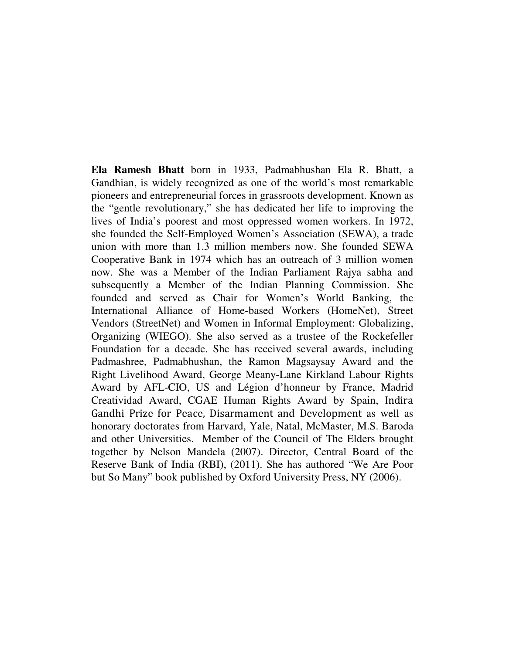**Ela Ramesh Bhatt** born in 1933, Padmabhushan Ela R. Bhatt, a Gandhian, is widely recognized as one of the world's most remarkable pioneers and entrepreneurial forces in grassroots development. Known as the "gentle revolutionary," she has dedicated her life to improving the lives of India's poorest and most oppressed women workers. In 1972, she founded the Self-Employed Women's Association (SEWA), a trade union with more than 1.3 million members now. She founded SEWA Cooperative Bank in 1974 which has an outreach of 3 million women now. She was a Member of the Indian Parliament Rajya sabha and subsequently a Member of the Indian Planning Commission. She founded and served as Chair for Women's World Banking, the International Alliance of Home-based Workers (HomeNet), Street Vendors (StreetNet) and Women in Informal Employment: Globalizing, Organizing (WIEGO). She also served as a trustee of the Rockefeller Foundation for a decade. She has received several awards, including Padmashree, Padmabhushan, the Ramon Magsaysay Award and the Right Livelihood Award, George Meany-Lane Kirkland Labour Rights Award by AFL-CIO, US and Légion d'honneur by France, Madrid Creatividad Award, CGAE Human Rights Award by Spain, Indira Gandhi Prize for Peace, Disarmament and Development as well as honorary doctorates from Harvard, Yale, Natal, McMaster, M.S. Baroda and other Universities. Member of the Council of The Elders brought together by Nelson Mandela (2007). Director, Central Board of the Reserve Bank of India (RBI), (2011). She has authored "We Are Poor but So Many" book published by Oxford University Press, NY (2006).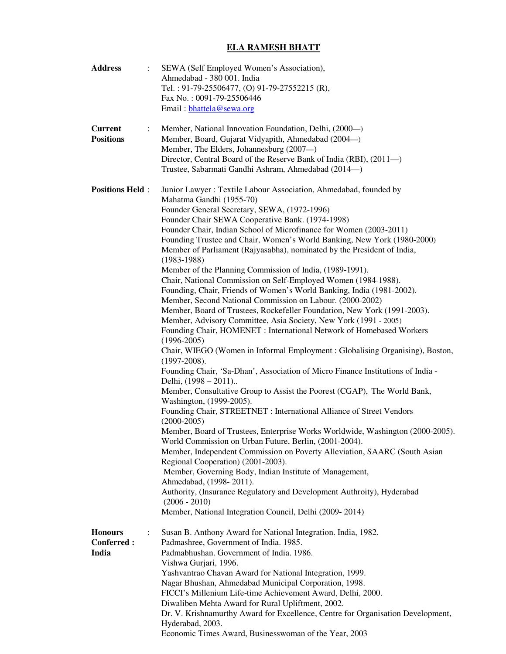## **ELA RAMESH BHATT**

| <b>Address</b>                      | SEWA (Self Employed Women's Association),                                                                                                |
|-------------------------------------|------------------------------------------------------------------------------------------------------------------------------------------|
|                                     | Ahmedabad - 380 001. India                                                                                                               |
|                                     | Tel.: 91-79-25506477, (O) 91-79-27552215 (R),                                                                                            |
|                                     | Fax No.: 0091-79-25506446                                                                                                                |
|                                     | Email: bhattela@sewa.org                                                                                                                 |
| <b>Current</b>                      | Member, National Innovation Foundation, Delhi, (2000—)<br>$\ddot{\cdot}$                                                                 |
| <b>Positions</b>                    | Member, Board, Gujarat Vidyapith, Ahmedabad (2004-)                                                                                      |
|                                     | Member, The Elders, Johannesburg (2007-)                                                                                                 |
|                                     | Director, Central Board of the Reserve Bank of India (RBI), (2011-)                                                                      |
|                                     | Trustee, Sabarmati Gandhi Ashram, Ahmedabad (2014---)                                                                                    |
|                                     |                                                                                                                                          |
| <b>Positions Held:</b>              | Junior Lawyer: Textile Labour Association, Ahmedabad, founded by<br>Mahatma Gandhi (1955-70)                                             |
|                                     | Founder General Secretary, SEWA, (1972-1996)                                                                                             |
|                                     | Founder Chair SEWA Cooperative Bank. (1974-1998)                                                                                         |
|                                     | Founder Chair, Indian School of Microfinance for Women (2003-2011)                                                                       |
|                                     | Founding Trustee and Chair, Women's World Banking, New York (1980-2000)                                                                  |
|                                     | Member of Parliament (Rajyasabha), nominated by the President of India,                                                                  |
|                                     | $(1983-1988)$                                                                                                                            |
|                                     | Member of the Planning Commission of India, (1989-1991).                                                                                 |
|                                     | Chair, National Commission on Self-Employed Women (1984-1988).                                                                           |
|                                     | Founding, Chair, Friends of Women's World Banking, India (1981-2002).                                                                    |
|                                     | Member, Second National Commission on Labour. (2000-2002)<br>Member, Board of Trustees, Rockefeller Foundation, New York (1991-2003).    |
|                                     | Member, Advisory Committee, Asia Society, New York (1991 - 2005)                                                                         |
|                                     | Founding Chair, HOMENET : International Network of Homebased Workers                                                                     |
|                                     | $(1996 - 2005)$                                                                                                                          |
|                                     | Chair, WIEGO (Women in Informal Employment: Globalising Organising), Boston,<br>$(1997-2008).$                                           |
|                                     | Founding Chair, 'Sa-Dhan', Association of Micro Finance Institutions of India -<br>Delhi, (1998 – 2011)                                  |
|                                     | Member, Consultative Group to Assist the Poorest (CGAP), The World Bank,<br>Washington, (1999-2005).                                     |
|                                     | Founding Chair, STREETNET : International Alliance of Street Vendors<br>$(2000-2005)$                                                    |
|                                     | Member, Board of Trustees, Enterprise Works Worldwide, Washington (2000-2005).<br>World Commission on Urban Future, Berlin, (2001-2004). |
|                                     | Member, Independent Commission on Poverty Alleviation, SAARC (South Asian<br>Regional Cooperation) (2001-2003).                          |
|                                     | Member, Governing Body, Indian Institute of Management,                                                                                  |
|                                     | Ahmedabad, (1998-2011).                                                                                                                  |
|                                     | Authority, (Insurance Regulatory and Development Authroity), Hyderabad<br>$(2006 - 2010)$                                                |
|                                     | Member, National Integration Council, Delhi (2009-2014)                                                                                  |
|                                     |                                                                                                                                          |
| <b>Honours</b><br><b>Conferred:</b> | Susan B. Anthony Award for National Integration. India, 1982.                                                                            |
| India                               | Padmashree, Government of India. 1985.<br>Padmabhushan. Government of India. 1986.                                                       |
|                                     | Vishwa Gurjari, 1996.                                                                                                                    |
|                                     | Yashvantrao Chavan Award for National Integration, 1999.                                                                                 |
|                                     | Nagar Bhushan, Ahmedabad Municipal Corporation, 1998.                                                                                    |
|                                     | FICCI's Millenium Life-time Achievement Award, Delhi, 2000.                                                                              |
|                                     | Diwaliben Mehta Award for Rural Upliftment, 2002.                                                                                        |
|                                     | Dr. V. Krishnamurthy Award for Excellence, Centre for Organisation Development,                                                          |
|                                     | Hyderabad, 2003.                                                                                                                         |
|                                     | Economic Times Award, Businesswoman of the Year, 2003                                                                                    |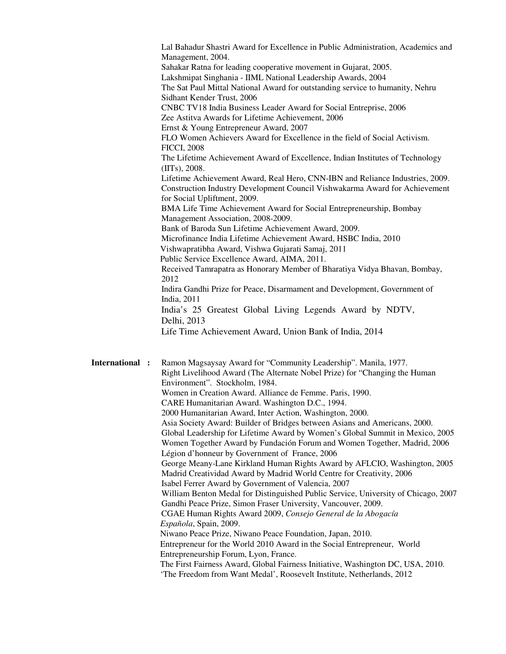Lal Bahadur Shastri Award for Excellence in Public Administration, Academics and Management, 2004. Sahakar Ratna for leading cooperative movement in Gujarat, 2005. Lakshmipat Singhania - IIML National Leadership Awards, 2004 The Sat Paul Mittal National Award for outstanding service to humanity, Nehru Sidhant Kender Trust, 2006 CNBC TV18 India Business Leader Award for Social Entreprise, 2006 Zee Astitva Awards for Lifetime Achievement, 2006 Ernst & Young Entrepreneur Award, 2007 FLO Women Achievers Award for Excellence in the field of Social Activism. FICCI, 2008 The Lifetime Achievement Award of Excellence, Indian Institutes of Technology (IITs), 2008. Lifetime Achievement Award, Real Hero, CNN-IBN and Reliance Industries, 2009. Construction Industry Development Council Vishwakarma Award for Achievement for Social Upliftment, 2009. BMA Life Time Achievement Award for Social Entrepreneurship, Bombay Management Association, 2008-2009. Bank of Baroda Sun Lifetime Achievement Award, 2009. Microfinance India Lifetime Achievement Award, HSBC India, 2010 Vishwapratibha Award, Vishwa Gujarati Samaj, 2011 Public Service Excellence Award, AIMA, 2011. Received Tamrapatra as Honorary Member of Bharatiya Vidya Bhavan, Bombay, 2012 Indira Gandhi Prize for Peace, Disarmament and Development, Government of India, 2011 India's 25 Greatest Global Living Legends Award by NDTV, Delhi, 2013 Life Time Achievement Award, Union Bank of India, 2014 **International :** Ramon Magsaysay Award for "Community Leadership". Manila, 1977. Right Livelihood Award (The Alternate Nobel Prize) for "Changing the Human Environment". Stockholm, 1984. Women in Creation Award. Alliance de Femme. Paris, 1990. CARE Humanitarian Award. Washington D.C., 1994. 2000 Humanitarian Award, Inter Action, Washington, 2000. Asia Society Award: Builder of Bridges between Asians and Americans, 2000. Global Leadership for Lifetime Award by Women's Global Summit in Mexico, 2005 Women Together Award by Fundación Forum and Women Together, Madrid, 2006 Légion d'honneur by Government of France, 2006 George Meany-Lane Kirkland Human Rights Award by AFLCIO, Washington, 2005 Madrid Creatividad Award by Madrid World Centre for Creativity, 2006 Isabel Ferrer Award by Government of Valencia, 2007

William Benton Medal for Distinguished Public Service, University of Chicago, 2007 Gandhi Peace Prize, Simon Fraser University, Vancouver, 2009.

 CGAE Human Rights Award 2009, *Consejo General de la Abogacía Española*, Spain, 2009.

 Niwano Peace Prize, Niwano Peace Foundation, Japan, 2010. Entrepreneur for the World 2010 Award in the Social Entrepreneur, World Entrepreneurship Forum, Lyon, France. The First Fairness Award, Global Fairness Initiative, Washington DC, USA, 2010.

'The Freedom from Want Medal', Roosevelt Institute, Netherlands, 2012